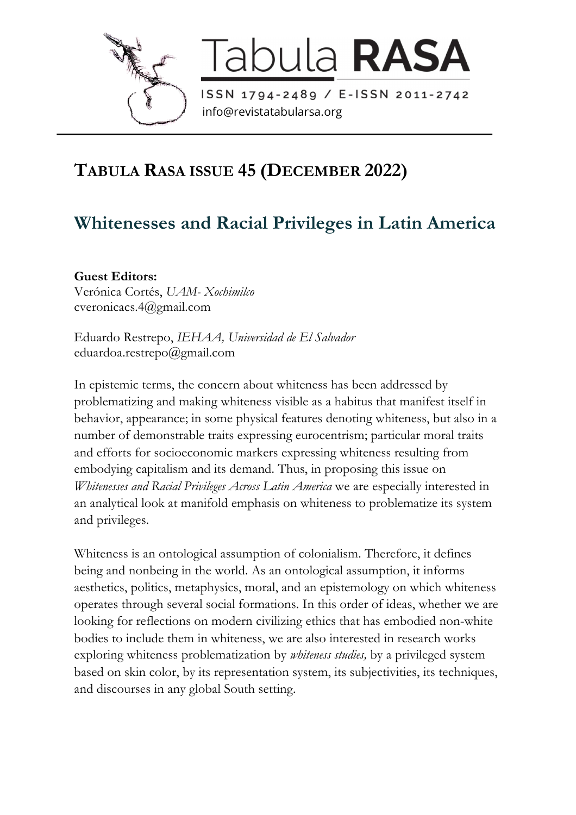

Tabula RASA

info@revistatabularsa.org

## **TABULA RASA ISSUE 45 (DECEMBER 2022)**

## **Whitenesses and Racial Privileges in Latin America**

**Guest Editors:** Verónica Cortés, *UAM- Xochimilco* cveronicacs.4@gmail.com

Eduardo Restrepo, *IEHAA, Universidad de El Salvador* eduardoa.restrepo@gmail.com

In epistemic terms, the concern about whiteness has been addressed by problematizing and making whiteness visible as a habitus that manifest itself in behavior, appearance; in some physical features denoting whiteness, but also in a number of demonstrable traits expressing eurocentrism; particular moral traits and efforts for socioeconomic markers expressing whiteness resulting from embodying capitalism and its demand. Thus, in proposing this issue on *Whitenesses and Racial Privileges Across Latin America* we are especially interested in an analytical look at manifold emphasis on whiteness to problematize its system and privileges.

Whiteness is an ontological assumption of colonialism. Therefore, it defines being and nonbeing in the world. As an ontological assumption, it informs aesthetics, politics, metaphysics, moral, and an epistemology on which whiteness operates through several social formations. In this order of ideas, whether we are looking for reflections on modern civilizing ethics that has embodied non-white bodies to include them in whiteness, we are also interested in research works exploring whiteness problematization by *whiteness studies,* by a privileged system based on skin color, by its representation system, its subjectivities, its techniques, and discourses in any global South setting.